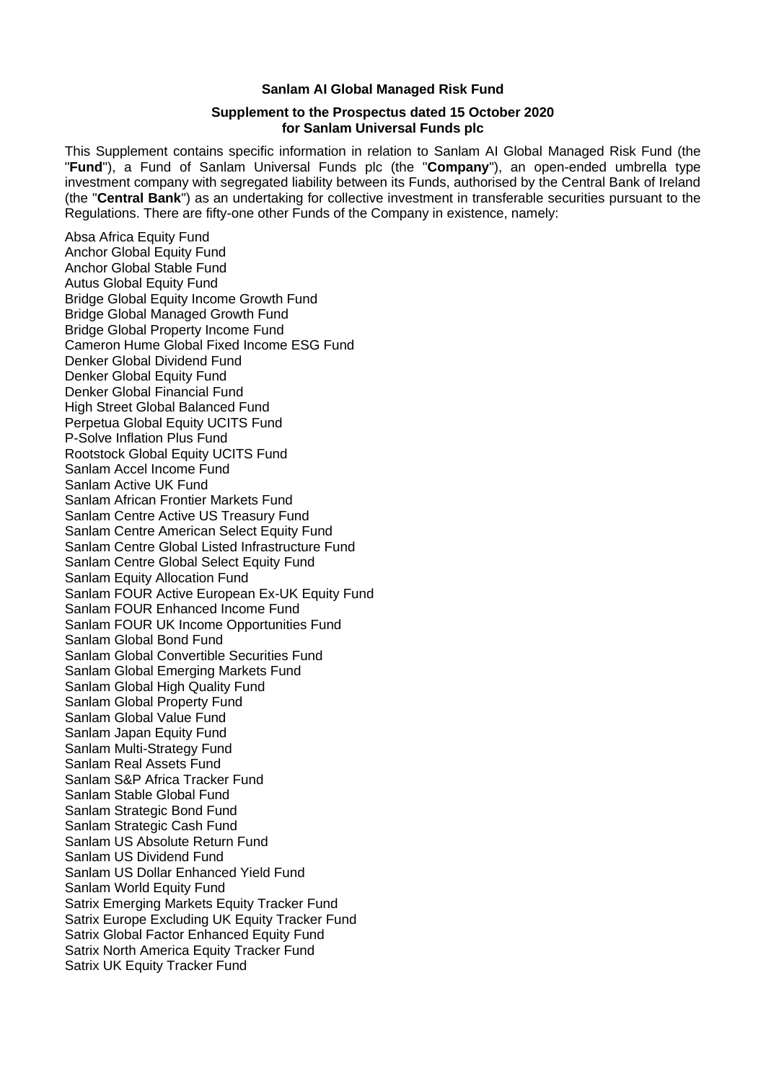#### **Sanlam AI Global Managed Risk Fund**

#### **Supplement to the Prospectus dated 15 October 2020 for Sanlam Universal Funds plc**

This Supplement contains specific information in relation to Sanlam AI Global Managed Risk Fund (the "**Fund**"), a Fund of Sanlam Universal Funds plc (the "**Company**"), an open-ended umbrella type investment company with segregated liability between its Funds, authorised by the Central Bank of Ireland (the "**Central Bank**") as an undertaking for collective investment in transferable securities pursuant to the Regulations. There are fifty-one other Funds of the Company in existence, namely:

Absa Africa Equity Fund Anchor Global Equity Fund Anchor Global Stable Fund Autus Global Equity Fund Bridge Global Equity Income Growth Fund Bridge Global Managed Growth Fund Bridge Global Property Income Fund Cameron Hume Global Fixed Income ESG Fund Denker Global Dividend Fund Denker Global Equity Fund Denker Global Financial Fund High Street Global Balanced Fund Perpetua Global Equity UCITS Fund P-Solve Inflation Plus Fund Rootstock Global Equity UCITS Fund Sanlam Accel Income Fund Sanlam Active UK Fund Sanlam African Frontier Markets Fund Sanlam Centre Active US Treasury Fund Sanlam Centre American Select Equity Fund Sanlam Centre Global Listed Infrastructure Fund Sanlam Centre Global Select Equity Fund Sanlam Equity Allocation Fund Sanlam FOUR Active European Ex-UK Equity Fund Sanlam FOUR Enhanced Income Fund Sanlam FOUR UK Income Opportunities Fund Sanlam Global Bond Fund Sanlam Global Convertible Securities Fund Sanlam Global Emerging Markets Fund Sanlam Global High Quality Fund Sanlam Global Property Fund Sanlam Global Value Fund Sanlam Japan Equity Fund Sanlam Multi-Strategy Fund Sanlam Real Assets Fund Sanlam S&P Africa Tracker Fund Sanlam Stable Global Fund Sanlam Strategic Bond Fund Sanlam Strategic Cash Fund Sanlam US Absolute Return Fund Sanlam US Dividend Fund Sanlam US Dollar Enhanced Yield Fund Sanlam World Equity Fund Satrix Emerging Markets Equity Tracker Fund Satrix Europe Excluding UK Equity Tracker Fund Satrix Global Factor Enhanced Equity Fund Satrix North America Equity Tracker Fund Satrix UK Equity Tracker Fund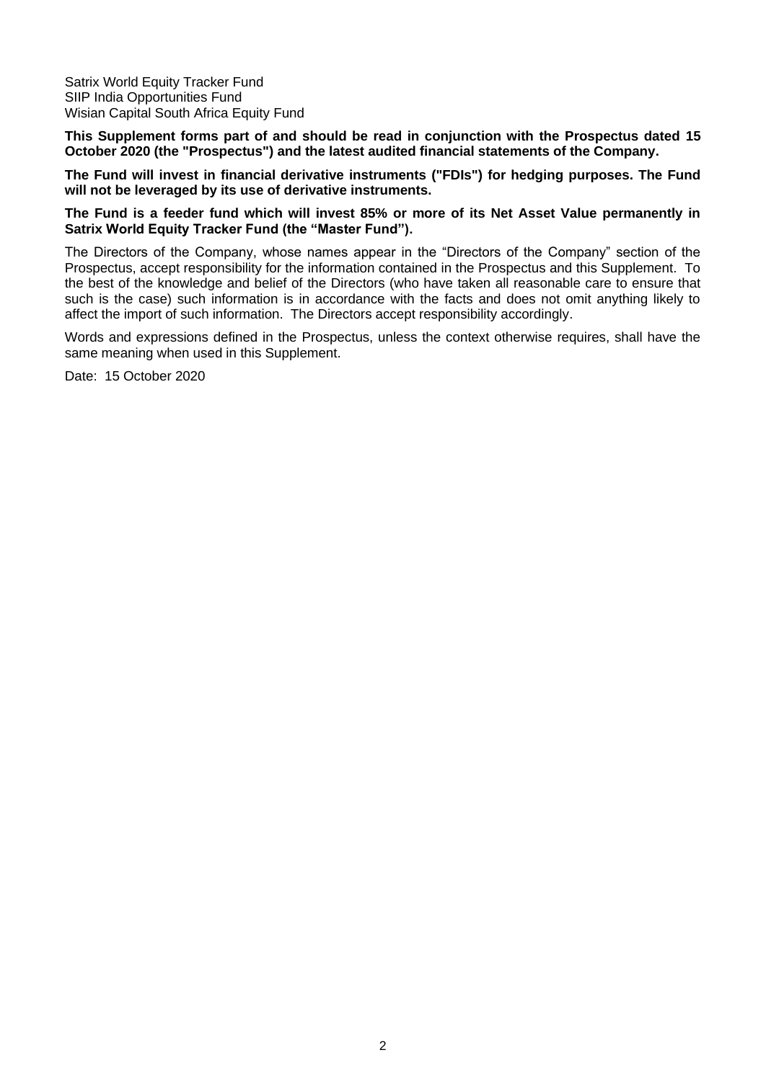Satrix World Equity Tracker Fund SIIP India Opportunities Fund Wisian Capital South Africa Equity Fund

**This Supplement forms part of and should be read in conjunction with the Prospectus dated 15 October 2020 (the "Prospectus") and the latest audited financial statements of the Company.** 

**The Fund will invest in financial derivative instruments ("FDIs") for hedging purposes. The Fund will not be leveraged by its use of derivative instruments.**

**The Fund is a feeder fund which will invest 85% or more of its Net Asset Value permanently in Satrix World Equity Tracker Fund (the "Master Fund").**

The Directors of the Company, whose names appear in the "Directors of the Company" section of the Prospectus, accept responsibility for the information contained in the Prospectus and this Supplement. To the best of the knowledge and belief of the Directors (who have taken all reasonable care to ensure that such is the case) such information is in accordance with the facts and does not omit anything likely to affect the import of such information. The Directors accept responsibility accordingly.

Words and expressions defined in the Prospectus, unless the context otherwise requires, shall have the same meaning when used in this Supplement.

Date: 15 October 2020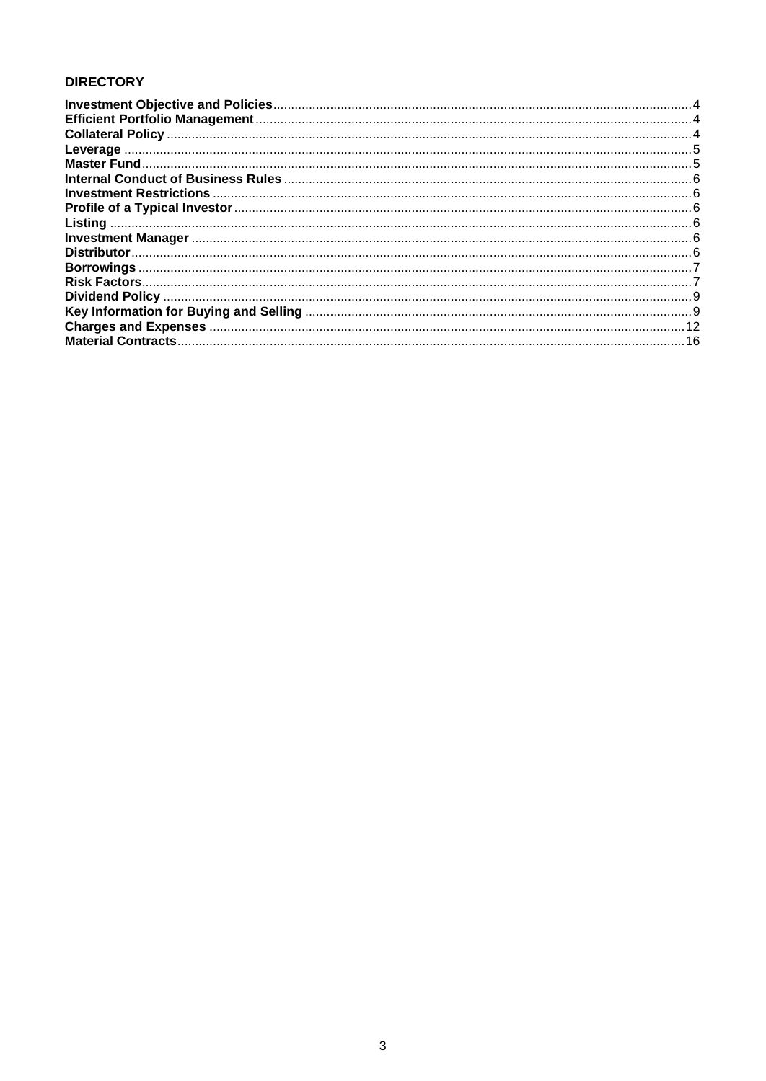# **DIRECTORY**

| 16 |
|----|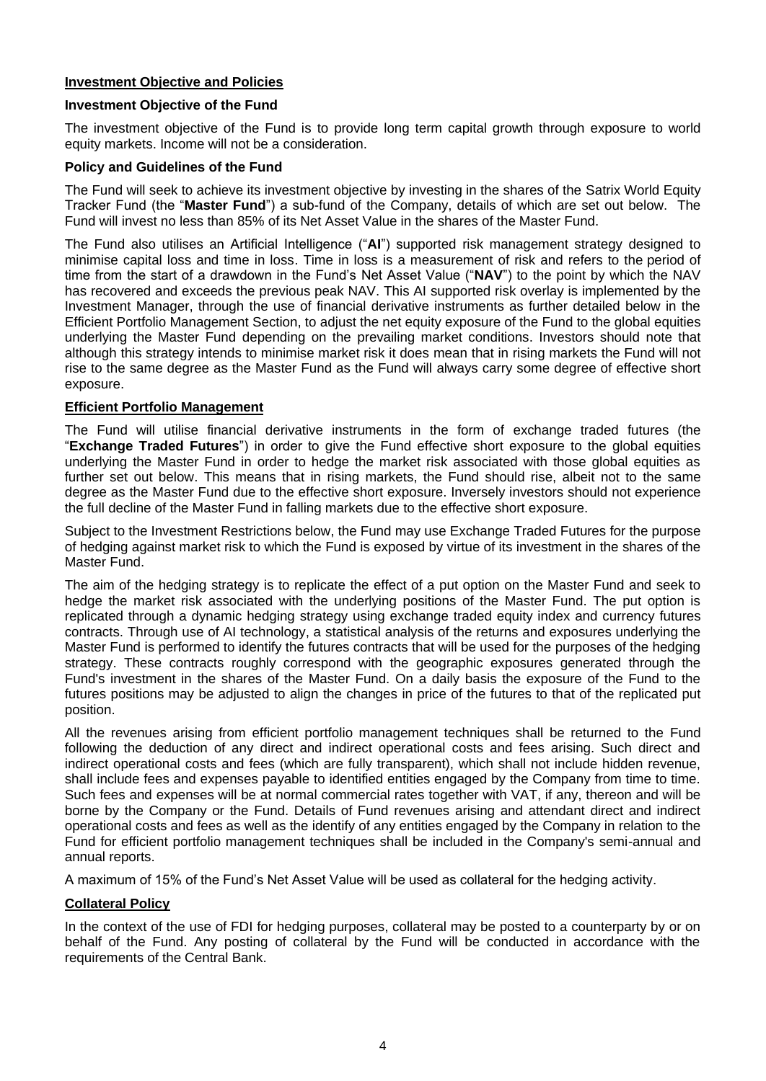## <span id="page-3-0"></span>**Investment Objective and Policies**

## **Investment Objective of the Fund**

The investment objective of the Fund is to provide long term capital growth through exposure to world equity markets. Income will not be a consideration.

## **Policy and Guidelines of the Fund**

The Fund will seek to achieve its investment objective by investing in the shares of the Satrix World Equity Tracker Fund (the "**Master Fund**") a sub-fund of the Company, details of which are set out below. The Fund will invest no less than 85% of its Net Asset Value in the shares of the Master Fund.

The Fund also utilises an Artificial Intelligence ("**AI**") supported risk management strategy designed to minimise capital loss and time in loss. Time in loss is a measurement of risk and refers to the period of time from the start of a drawdown in the Fund's Net Asset Value ("**NAV**") to the point by which the NAV has recovered and exceeds the previous peak NAV. This AI supported risk overlay is implemented by the Investment Manager, through the use of financial derivative instruments as further detailed below in the Efficient Portfolio Management Section, to adjust the net equity exposure of the Fund to the global equities underlying the Master Fund depending on the prevailing market conditions. Investors should note that although this strategy intends to minimise market risk it does mean that in rising markets the Fund will not rise to the same degree as the Master Fund as the Fund will always carry some degree of effective short exposure.

## <span id="page-3-1"></span>**Efficient Portfolio Management**

The Fund will utilise financial derivative instruments in the form of exchange traded futures (the "**Exchange Traded Futures**") in order to give the Fund effective short exposure to the global equities underlying the Master Fund in order to hedge the market risk associated with those global equities as further set out below. This means that in rising markets, the Fund should rise, albeit not to the same degree as the Master Fund due to the effective short exposure. Inversely investors should not experience the full decline of the Master Fund in falling markets due to the effective short exposure.

Subject to the Investment Restrictions below, the Fund may use Exchange Traded Futures for the purpose of hedging against market risk to which the Fund is exposed by virtue of its investment in the shares of the Master Fund.

The aim of the hedging strategy is to replicate the effect of a put option on the Master Fund and seek to hedge the market risk associated with the underlying positions of the Master Fund. The put option is replicated through a dynamic hedging strategy using exchange traded equity index and currency futures contracts. Through use of AI technology, a statistical analysis of the returns and exposures underlying the Master Fund is performed to identify the futures contracts that will be used for the purposes of the hedging strategy. These contracts roughly correspond with the geographic exposures generated through the Fund's investment in the shares of the Master Fund. On a daily basis the exposure of the Fund to the futures positions may be adjusted to align the changes in price of the futures to that of the replicated put position.

All the revenues arising from efficient portfolio management techniques shall be returned to the Fund following the deduction of any direct and indirect operational costs and fees arising. Such direct and indirect operational costs and fees (which are fully transparent), which shall not include hidden revenue, shall include fees and expenses payable to identified entities engaged by the Company from time to time. Such fees and expenses will be at normal commercial rates together with VAT, if any, thereon and will be borne by the Company or the Fund. Details of Fund revenues arising and attendant direct and indirect operational costs and fees as well as the identify of any entities engaged by the Company in relation to the Fund for efficient portfolio management techniques shall be included in the Company's semi-annual and annual reports.

A maximum of 15% of the Fund's Net Asset Value will be used as collateral for the hedging activity.

# <span id="page-3-2"></span>**Collateral Policy**

In the context of the use of FDI for hedging purposes, collateral may be posted to a counterparty by or on behalf of the Fund. Any posting of collateral by the Fund will be conducted in accordance with the requirements of the Central Bank.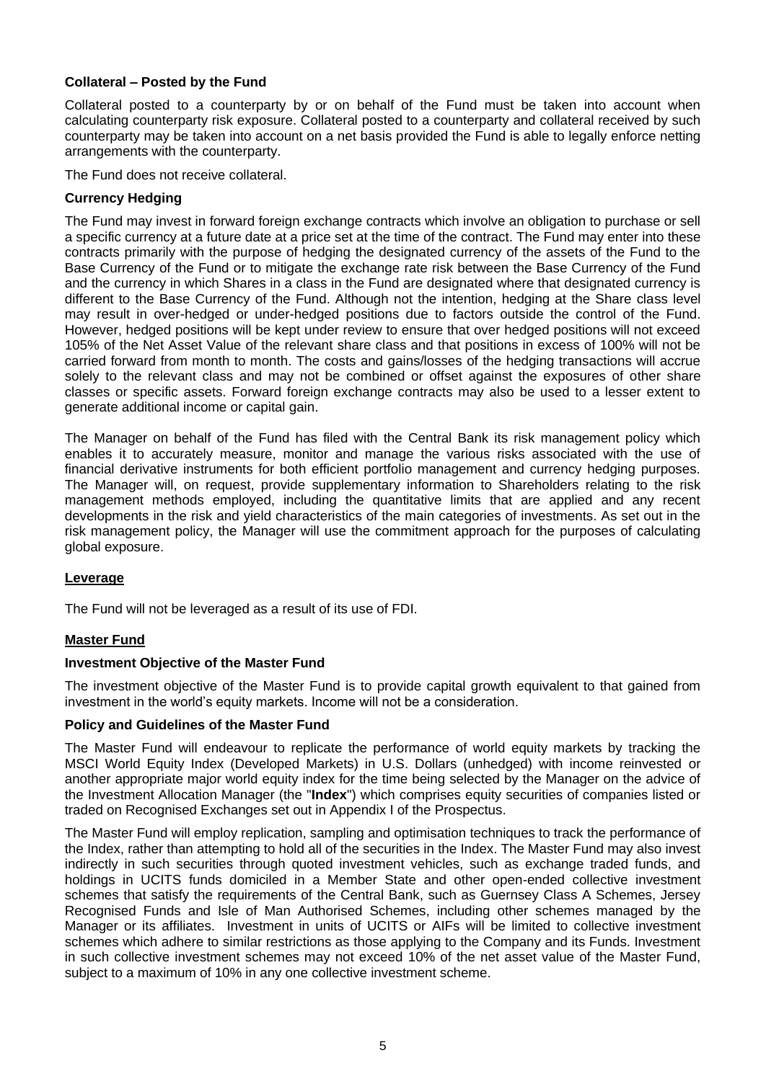## **Collateral – Posted by the Fund**

Collateral posted to a counterparty by or on behalf of the Fund must be taken into account when calculating counterparty risk exposure. Collateral posted to a counterparty and collateral received by such counterparty may be taken into account on a net basis provided the Fund is able to legally enforce netting arrangements with the counterparty.

The Fund does not receive collateral.

## **Currency Hedging**

The Fund may invest in forward foreign exchange contracts which involve an obligation to purchase or sell a specific currency at a future date at a price set at the time of the contract. The Fund may enter into these contracts primarily with the purpose of hedging the designated currency of the assets of the Fund to the Base Currency of the Fund or to mitigate the exchange rate risk between the Base Currency of the Fund and the currency in which Shares in a class in the Fund are designated where that designated currency is different to the Base Currency of the Fund. Although not the intention, hedging at the Share class level may result in over-hedged or under-hedged positions due to factors outside the control of the Fund. However, hedged positions will be kept under review to ensure that over hedged positions will not exceed 105% of the Net Asset Value of the relevant share class and that positions in excess of 100% will not be carried forward from month to month. The costs and gains/losses of the hedging transactions will accrue solely to the relevant class and may not be combined or offset against the exposures of other share classes or specific assets. Forward foreign exchange contracts may also be used to a lesser extent to generate additional income or capital gain.

The Manager on behalf of the Fund has filed with the Central Bank its risk management policy which enables it to accurately measure, monitor and manage the various risks associated with the use of financial derivative instruments for both efficient portfolio management and currency hedging purposes. The Manager will, on request, provide supplementary information to Shareholders relating to the risk management methods employed, including the quantitative limits that are applied and any recent developments in the risk and yield characteristics of the main categories of investments. As set out in the risk management policy, the Manager will use the commitment approach for the purposes of calculating global exposure.

## <span id="page-4-0"></span>**Leverage**

The Fund will not be leveraged as a result of its use of FDI.

## <span id="page-4-1"></span>**Master Fund**

## **Investment Objective of the Master Fund**

The investment objective of the Master Fund is to provide capital growth equivalent to that gained from investment in the world's equity markets. Income will not be a consideration.

## **Policy and Guidelines of the Master Fund**

The Master Fund will endeavour to replicate the performance of world equity markets by tracking the MSCI World Equity Index (Developed Markets) in U.S. Dollars (unhedged) with income reinvested or another appropriate major world equity index for the time being selected by the Manager on the advice of the Investment Allocation Manager (the "**Index**") which comprises equity securities of companies listed or traded on Recognised Exchanges set out in Appendix I of the Prospectus.

The Master Fund will employ replication, sampling and optimisation techniques to track the performance of the Index, rather than attempting to hold all of the securities in the Index. The Master Fund may also invest indirectly in such securities through quoted investment vehicles, such as exchange traded funds, and holdings in UCITS funds domiciled in a Member State and other open-ended collective investment schemes that satisfy the requirements of the Central Bank, such as Guernsey Class A Schemes, Jersey Recognised Funds and Isle of Man Authorised Schemes, including other schemes managed by the Manager or its affiliates. Investment in units of UCITS or AIFs will be limited to collective investment schemes which adhere to similar restrictions as those applying to the Company and its Funds. Investment in such collective investment schemes may not exceed 10% of the net asset value of the Master Fund, subject to a maximum of 10% in any one collective investment scheme.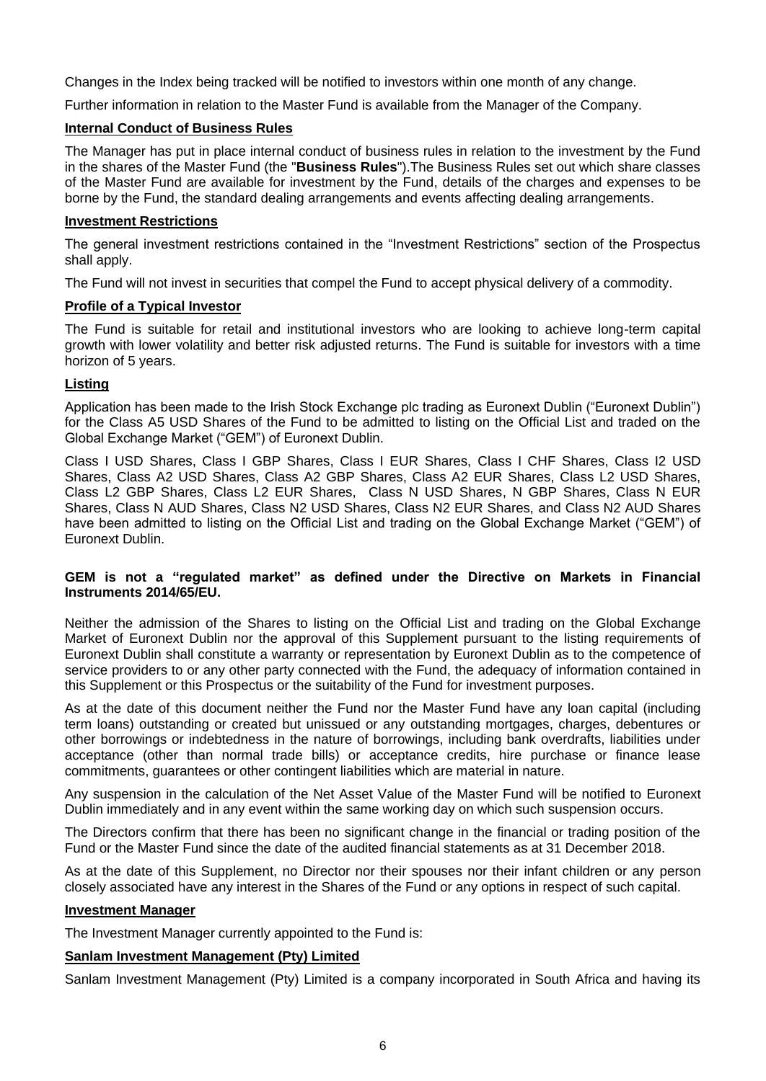Changes in the Index being tracked will be notified to investors within one month of any change.

Further information in relation to the Master Fund is available from the Manager of the Company.

## <span id="page-5-0"></span>**Internal Conduct of Business Rules**

The Manager has put in place internal conduct of business rules in relation to the investment by the Fund in the shares of the Master Fund (the "**Business Rules**").The Business Rules set out which share classes of the Master Fund are available for investment by the Fund, details of the charges and expenses to be borne by the Fund, the standard dealing arrangements and events affecting dealing arrangements.

## <span id="page-5-1"></span>**Investment Restrictions**

The general investment restrictions contained in the "Investment Restrictions" section of the Prospectus shall apply.

The Fund will not invest in securities that compel the Fund to accept physical delivery of a commodity.

## <span id="page-5-2"></span>**Profile of a Typical Investor**

The Fund is suitable for retail and institutional investors who are looking to achieve long-term capital growth with lower volatility and better risk adjusted returns. The Fund is suitable for investors with a time horizon of 5 years.

## <span id="page-5-3"></span>**Listing**

Application has been made to the Irish Stock Exchange plc trading as Euronext Dublin ("Euronext Dublin") for the Class A5 USD Shares of the Fund to be admitted to listing on the Official List and traded on the Global Exchange Market ("GEM") of Euronext Dublin.

Class I USD Shares, Class I GBP Shares, Class I EUR Shares, Class I CHF Shares, Class I2 USD Shares, Class A2 USD Shares, Class A2 GBP Shares, Class A2 EUR Shares, Class L2 USD Shares, Class L2 GBP Shares, Class L2 EUR Shares, Class N USD Shares, N GBP Shares, Class N EUR Shares, Class N AUD Shares, Class N2 USD Shares, Class N2 EUR Shares, and Class N2 AUD Shares have been admitted to listing on the Official List and trading on the Global Exchange Market ("GEM") of Euronext Dublin.

## **GEM is not a "regulated market" as defined under the Directive on Markets in Financial Instruments 2014/65/EU.**

Neither the admission of the Shares to listing on the Official List and trading on the Global Exchange Market of Euronext Dublin nor the approval of this Supplement pursuant to the listing requirements of Euronext Dublin shall constitute a warranty or representation by Euronext Dublin as to the competence of service providers to or any other party connected with the Fund, the adequacy of information contained in this Supplement or this Prospectus or the suitability of the Fund for investment purposes.

As at the date of this document neither the Fund nor the Master Fund have any loan capital (including term loans) outstanding or created but unissued or any outstanding mortgages, charges, debentures or other borrowings or indebtedness in the nature of borrowings, including bank overdrafts, liabilities under acceptance (other than normal trade bills) or acceptance credits, hire purchase or finance lease commitments, guarantees or other contingent liabilities which are material in nature.

Any suspension in the calculation of the Net Asset Value of the Master Fund will be notified to Euronext Dublin immediately and in any event within the same working day on which such suspension occurs.

The Directors confirm that there has been no significant change in the financial or trading position of the Fund or the Master Fund since the date of the audited financial statements as at 31 December 2018.

As at the date of this Supplement, no Director nor their spouses nor their infant children or any person closely associated have any interest in the Shares of the Fund or any options in respect of such capital.

## <span id="page-5-4"></span>**Investment Manager**

The Investment Manager currently appointed to the Fund is:

## <span id="page-5-5"></span>**Sanlam Investment Management (Pty) Limited**

Sanlam Investment Management (Pty) Limited is a company incorporated in South Africa and having its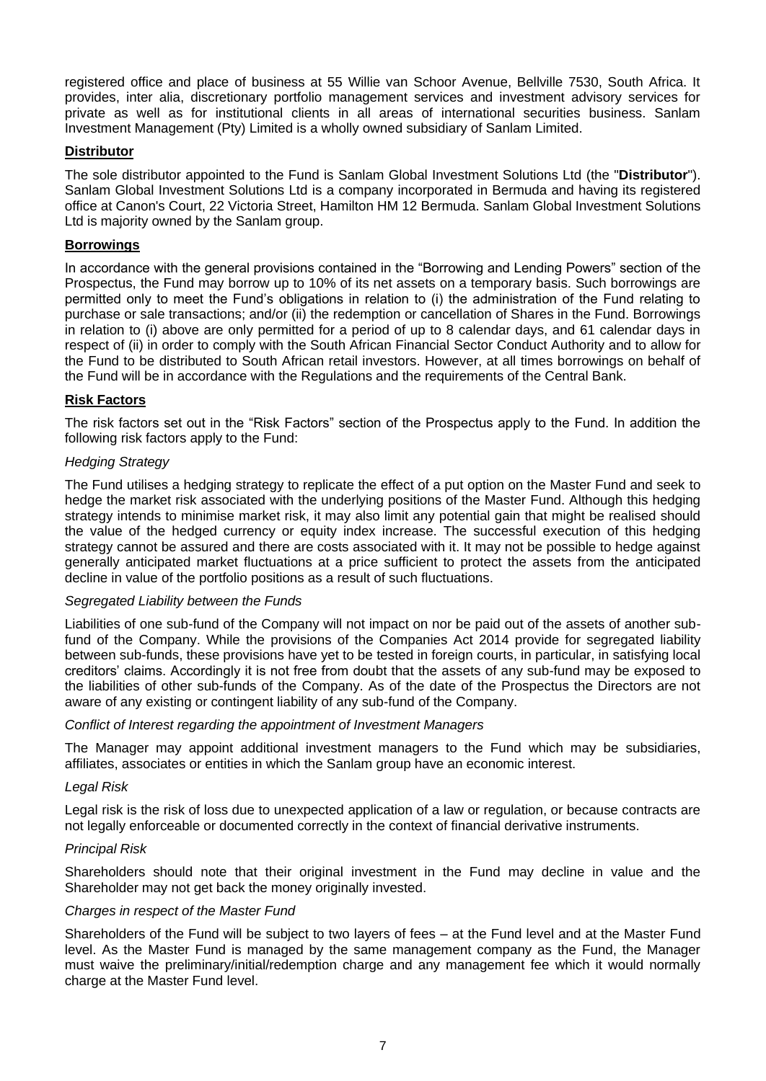registered office and place of business at 55 Willie van Schoor Avenue, Bellville 7530, South Africa. It provides, inter alia, discretionary portfolio management services and investment advisory services for private as well as for institutional clients in all areas of international securities business. Sanlam Investment Management (Pty) Limited is a wholly owned subsidiary of Sanlam Limited.

## **Distributor**

The sole distributor appointed to the Fund is Sanlam Global Investment Solutions Ltd (the "**Distributor**"). Sanlam Global Investment Solutions Ltd is a company incorporated in Bermuda and having its registered office at Canon's Court, 22 Victoria Street, Hamilton HM 12 Bermuda. Sanlam Global Investment Solutions Ltd is majority owned by the Sanlam group.

## <span id="page-6-0"></span>**Borrowings**

In accordance with the general provisions contained in the "Borrowing and Lending Powers" section of the Prospectus, the Fund may borrow up to 10% of its net assets on a temporary basis. Such borrowings are permitted only to meet the Fund's obligations in relation to (i) the administration of the Fund relating to purchase or sale transactions; and/or (ii) the redemption or cancellation of Shares in the Fund. Borrowings in relation to (i) above are only permitted for a period of up to 8 calendar days, and 61 calendar days in respect of (ii) in order to comply with the South African Financial Sector Conduct Authority and to allow for the Fund to be distributed to South African retail investors. However, at all times borrowings on behalf of the Fund will be in accordance with the Regulations and the requirements of the Central Bank.

## <span id="page-6-1"></span>**Risk Factors**

The risk factors set out in the "Risk Factors" section of the Prospectus apply to the Fund. In addition the following risk factors apply to the Fund:

## *Hedging Strategy*

The Fund utilises a hedging strategy to replicate the effect of a put option on the Master Fund and seek to hedge the market risk associated with the underlying positions of the Master Fund. Although this hedging strategy intends to minimise market risk, it may also limit any potential gain that might be realised should the value of the hedged currency or equity index increase. The successful execution of this hedging strategy cannot be assured and there are costs associated with it. It may not be possible to hedge against generally anticipated market fluctuations at a price sufficient to protect the assets from the anticipated decline in value of the portfolio positions as a result of such fluctuations.

## *Segregated Liability between the Funds*

Liabilities of one sub-fund of the Company will not impact on nor be paid out of the assets of another subfund of the Company. While the provisions of the Companies Act 2014 provide for segregated liability between sub-funds, these provisions have yet to be tested in foreign courts, in particular, in satisfying local creditors' claims. Accordingly it is not free from doubt that the assets of any sub-fund may be exposed to the liabilities of other sub-funds of the Company. As of the date of the Prospectus the Directors are not aware of any existing or contingent liability of any sub-fund of the Company.

## *Conflict of Interest regarding the appointment of Investment Managers*

The Manager may appoint additional investment managers to the Fund which may be subsidiaries, affiliates, associates or entities in which the Sanlam group have an economic interest.

## *Legal Risk*

Legal risk is the risk of loss due to unexpected application of a law or regulation, or because contracts are not legally enforceable or documented correctly in the context of financial derivative instruments.

## *Principal Risk*

Shareholders should note that their original investment in the Fund may decline in value and the Shareholder may not get back the money originally invested.

## *Charges in respect of the Master Fund*

Shareholders of the Fund will be subject to two layers of fees – at the Fund level and at the Master Fund level. As the Master Fund is managed by the same management company as the Fund, the Manager must waive the preliminary/initial/redemption charge and any management fee which it would normally charge at the Master Fund level.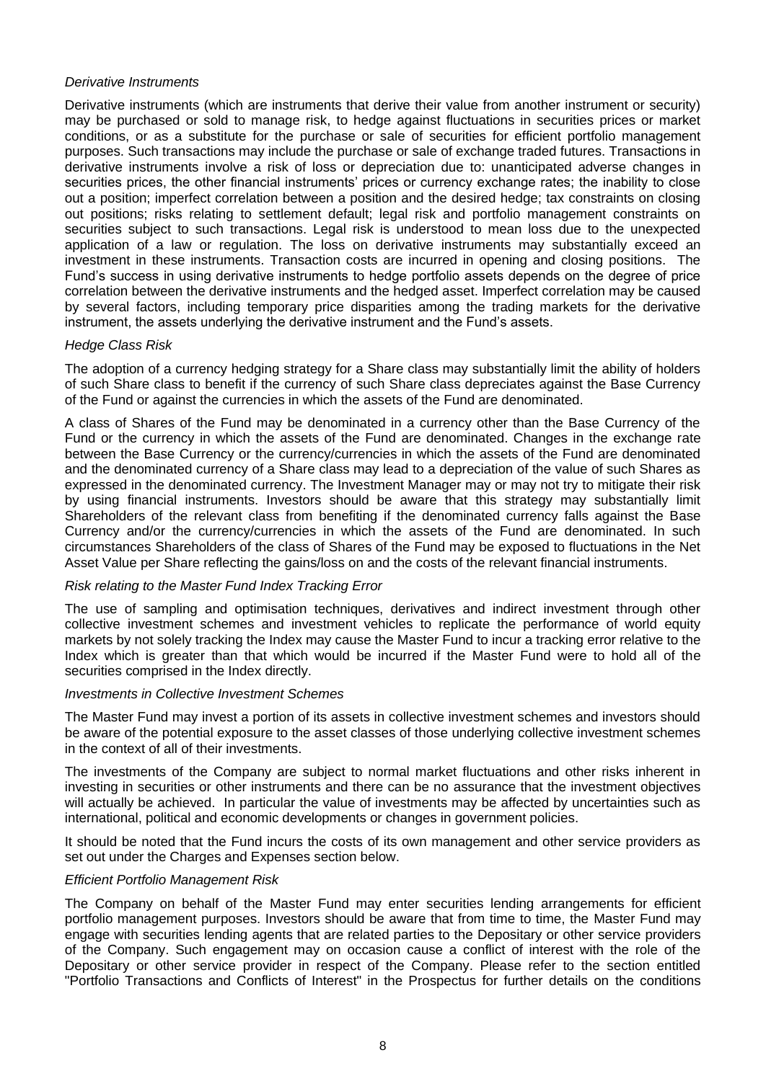### *Derivative Instruments*

Derivative instruments (which are instruments that derive their value from another instrument or security) may be purchased or sold to manage risk, to hedge against fluctuations in securities prices or market conditions, or as a substitute for the purchase or sale of securities for efficient portfolio management purposes. Such transactions may include the purchase or sale of exchange traded futures. Transactions in derivative instruments involve a risk of loss or depreciation due to: unanticipated adverse changes in securities prices, the other financial instruments' prices or currency exchange rates; the inability to close out a position; imperfect correlation between a position and the desired hedge; tax constraints on closing out positions; risks relating to settlement default; legal risk and portfolio management constraints on securities subject to such transactions. Legal risk is understood to mean loss due to the unexpected application of a law or regulation. The loss on derivative instruments may substantially exceed an investment in these instruments. Transaction costs are incurred in opening and closing positions. The Fund's success in using derivative instruments to hedge portfolio assets depends on the degree of price correlation between the derivative instruments and the hedged asset. Imperfect correlation may be caused by several factors, including temporary price disparities among the trading markets for the derivative instrument, the assets underlying the derivative instrument and the Fund's assets.

#### *Hedge Class Risk*

The adoption of a currency hedging strategy for a Share class may substantially limit the ability of holders of such Share class to benefit if the currency of such Share class depreciates against the Base Currency of the Fund or against the currencies in which the assets of the Fund are denominated.

A class of Shares of the Fund may be denominated in a currency other than the Base Currency of the Fund or the currency in which the assets of the Fund are denominated. Changes in the exchange rate between the Base Currency or the currency/currencies in which the assets of the Fund are denominated and the denominated currency of a Share class may lead to a depreciation of the value of such Shares as expressed in the denominated currency. The Investment Manager may or may not try to mitigate their risk by using financial instruments. Investors should be aware that this strategy may substantially limit Shareholders of the relevant class from benefiting if the denominated currency falls against the Base Currency and/or the currency/currencies in which the assets of the Fund are denominated. In such circumstances Shareholders of the class of Shares of the Fund may be exposed to fluctuations in the Net Asset Value per Share reflecting the gains/loss on and the costs of the relevant financial instruments.

#### *Risk relating to the Master Fund Index Tracking Error*

The use of sampling and optimisation techniques, derivatives and indirect investment through other collective investment schemes and investment vehicles to replicate the performance of world equity markets by not solely tracking the Index may cause the Master Fund to incur a tracking error relative to the Index which is greater than that which would be incurred if the Master Fund were to hold all of the securities comprised in the Index directly.

#### *Investments in Collective Investment Schemes*

The Master Fund may invest a portion of its assets in collective investment schemes and investors should be aware of the potential exposure to the asset classes of those underlying collective investment schemes in the context of all of their investments.

The investments of the Company are subject to normal market fluctuations and other risks inherent in investing in securities or other instruments and there can be no assurance that the investment objectives will actually be achieved. In particular the value of investments may be affected by uncertainties such as international, political and economic developments or changes in government policies.

It should be noted that the Fund incurs the costs of its own management and other service providers as set out under the Charges and Expenses section below.

## *Efficient Portfolio Management Risk*

The Company on behalf of the Master Fund may enter securities lending arrangements for efficient portfolio management purposes. Investors should be aware that from time to time, the Master Fund may engage with securities lending agents that are related parties to the Depositary or other service providers of the Company. Such engagement may on occasion cause a conflict of interest with the role of the Depositary or other service provider in respect of the Company. Please refer to the section entitled "Portfolio Transactions and Conflicts of Interest" in the Prospectus for further details on the conditions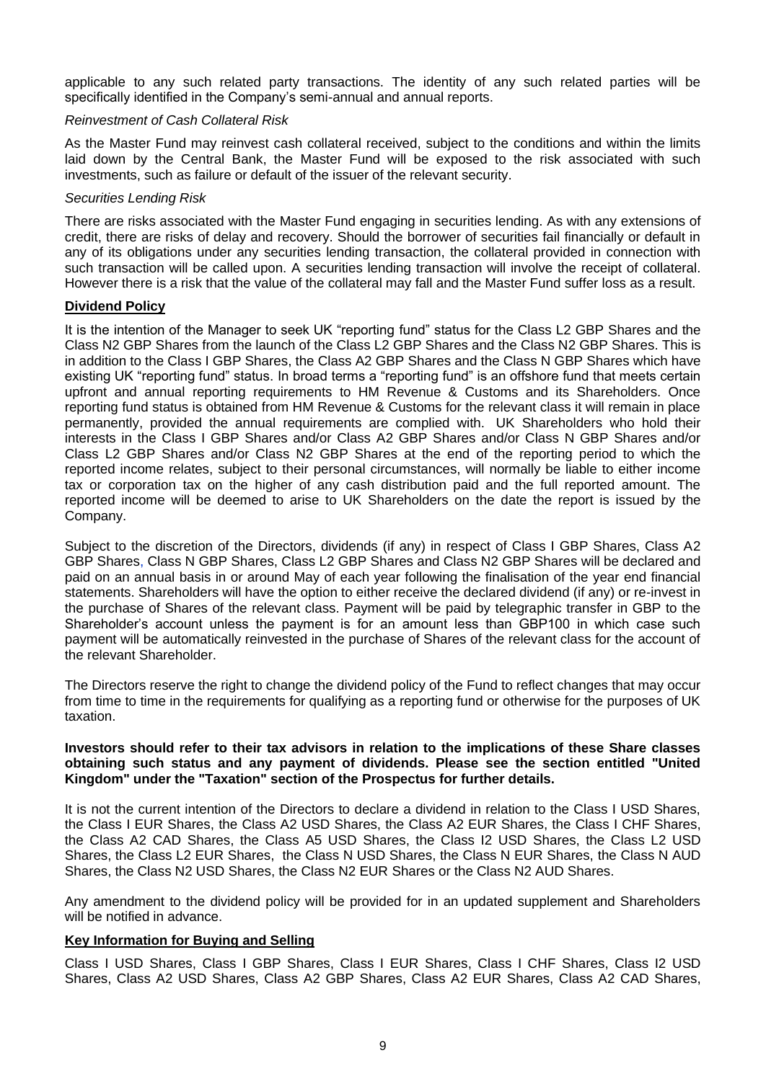applicable to any such related party transactions. The identity of any such related parties will be specifically identified in the Company's semi-annual and annual reports.

### *Reinvestment of Cash Collateral Risk*

As the Master Fund may reinvest cash collateral received, subject to the conditions and within the limits laid down by the Central Bank, the Master Fund will be exposed to the risk associated with such investments, such as failure or default of the issuer of the relevant security.

#### *Securities Lending Risk*

There are risks associated with the Master Fund engaging in securities lending. As with any extensions of credit, there are risks of delay and recovery. Should the borrower of securities fail financially or default in any of its obligations under any securities lending transaction, the collateral provided in connection with such transaction will be called upon. A securities lending transaction will involve the receipt of collateral. However there is a risk that the value of the collateral may fall and the Master Fund suffer loss as a result.

## <span id="page-8-0"></span>**Dividend Policy**

<span id="page-8-1"></span>It is the intention of the Manager to seek UK "reporting fund" status for the Class L2 GBP Shares and the Class N2 GBP Shares from the launch of the Class L2 GBP Shares and the Class N2 GBP Shares. This is in addition to the Class I GBP Shares, the Class A2 GBP Shares and the Class N GBP Shares which have existing UK "reporting fund" status. In broad terms a "reporting fund" is an offshore fund that meets certain upfront and annual reporting requirements to HM Revenue & Customs and its Shareholders. Once reporting fund status is obtained from HM Revenue & Customs for the relevant class it will remain in place permanently, provided the annual requirements are complied with. UK Shareholders who hold their interests in the Class I GBP Shares and/or Class A2 GBP Shares and/or Class N GBP Shares and/or Class L2 GBP Shares and/or Class N2 GBP Shares at the end of the reporting period to which the reported income relates, subject to their personal circumstances, will normally be liable to either income tax or corporation tax on the higher of any cash distribution paid and the full reported amount. The reported income will be deemed to arise to UK Shareholders on the date the report is issued by the Company.

Subject to the discretion of the Directors, dividends (if any) in respect of Class I GBP Shares, Class A2 GBP Shares, Class N GBP Shares, Class L2 GBP Shares and Class N2 GBP Shares will be declared and paid on an annual basis in or around May of each year following the finalisation of the year end financial statements. Shareholders will have the option to either receive the declared dividend (if any) or re-invest in the purchase of Shares of the relevant class. Payment will be paid by telegraphic transfer in GBP to the Shareholder's account unless the payment is for an amount less than GBP100 in which case such payment will be automatically reinvested in the purchase of Shares of the relevant class for the account of the relevant Shareholder.

The Directors reserve the right to change the dividend policy of the Fund to reflect changes that may occur from time to time in the requirements for qualifying as a reporting fund or otherwise for the purposes of UK taxation.

### **Investors should refer to their tax advisors in relation to the implications of these Share classes obtaining such status and any payment of dividends. Please see the section entitled "United Kingdom" under the "Taxation" section of the Prospectus for further details.**

It is not the current intention of the Directors to declare a dividend in relation to the Class I USD Shares, the Class I EUR Shares, the Class A2 USD Shares, the Class A2 EUR Shares, the Class I CHF Shares, the Class A2 CAD Shares, the Class A5 USD Shares, the Class I2 USD Shares, the Class L2 USD Shares, the Class L2 EUR Shares, the Class N USD Shares, the Class N EUR Shares, the Class N AUD Shares, the Class N2 USD Shares, the Class N2 EUR Shares or the Class N2 AUD Shares.

Any amendment to the dividend policy will be provided for in an updated supplement and Shareholders will be notified in advance.

## **Key Information for Buying and Selling**

Class I USD Shares, Class I GBP Shares, Class I EUR Shares, Class I CHF Shares, Class I2 USD Shares, Class A2 USD Shares, Class A2 GBP Shares, Class A2 EUR Shares, Class A2 CAD Shares,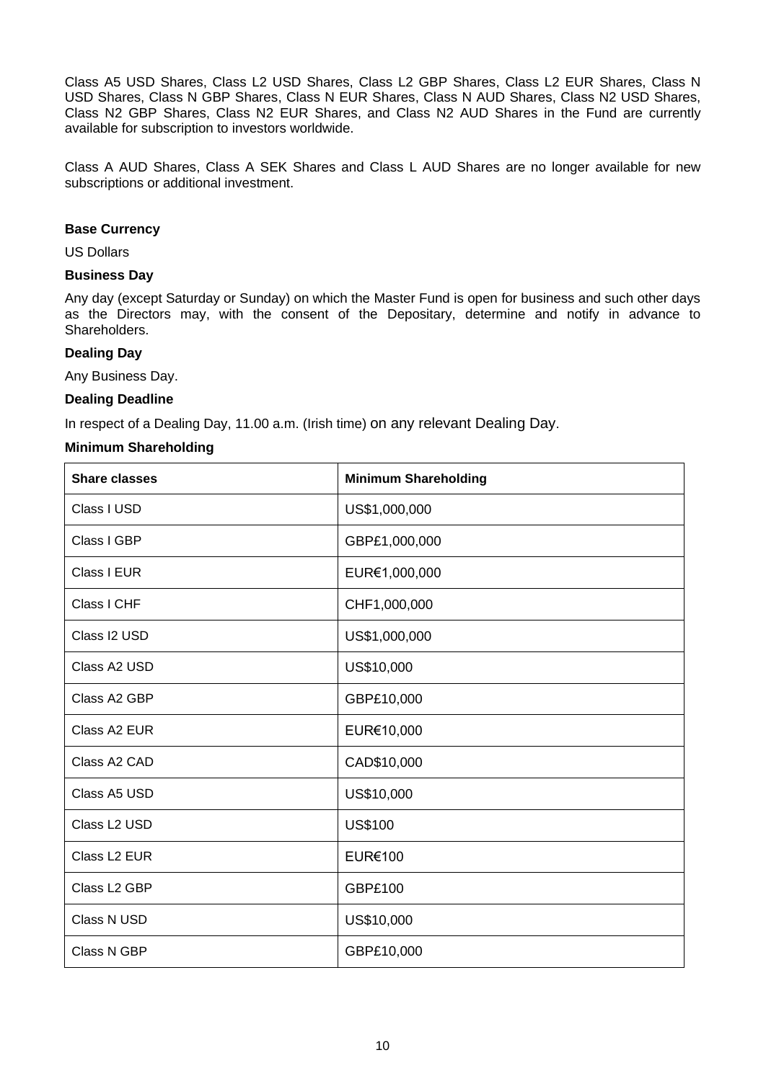Class A5 USD Shares, Class L2 USD Shares, Class L2 GBP Shares, Class L2 EUR Shares, Class N USD Shares, Class N GBP Shares, Class N EUR Shares, Class N AUD Shares, Class N2 USD Shares, Class N2 GBP Shares, Class N2 EUR Shares, and Class N2 AUD Shares in the Fund are currently available for subscription to investors worldwide.

Class A AUD Shares, Class A SEK Shares and Class L AUD Shares are no longer available for new subscriptions or additional investment.

## **Base Currency**

US Dollars

## **Business Day**

Any day (except Saturday or Sunday) on which the Master Fund is open for business and such other days as the Directors may, with the consent of the Depositary, determine and notify in advance to Shareholders.

## **Dealing Day**

Any Business Day.

## **Dealing Deadline**

In respect of a Dealing Day, 11.00 a.m. (Irish time) on any relevant Dealing Day.

## **Minimum Shareholding**

| <b>Share classes</b>     | <b>Minimum Shareholding</b> |
|--------------------------|-----------------------------|
| Class I USD              | US\$1,000,000               |
| Class I GBP              | GBP£1,000,000               |
| Class I EUR              | EUR€1,000,000               |
| Class I CHF              | CHF1,000,000                |
| Class I2 USD             | US\$1,000,000               |
| Class A2 USD             | US\$10,000                  |
| Class A2 GBP             | GBP£10,000                  |
| Class A2 EUR             | EUR€10,000                  |
| Class A2 CAD             | CAD\$10,000                 |
| Class A5 USD             | US\$10,000                  |
| Class L <sub>2</sub> USD | <b>US\$100</b>              |
| Class L <sub>2</sub> EUR | EUR€100                     |
| Class L <sub>2</sub> GBP | <b>GBP£100</b>              |
| Class N USD              | US\$10,000                  |
| Class N GBP              | GBP£10,000                  |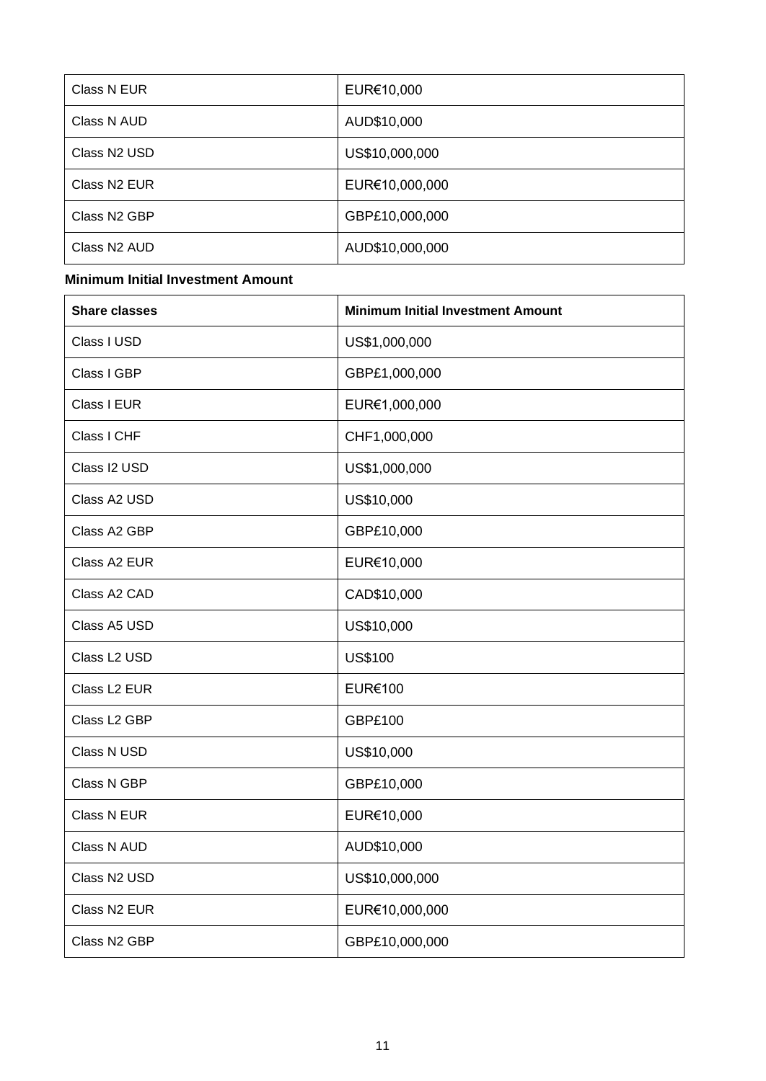| Class N EUR              | EUR€10,000      |
|--------------------------|-----------------|
| Class N AUD              | AUD\$10,000     |
| Class N <sub>2</sub> USD | US\$10,000,000  |
| Class N <sub>2</sub> EUR | EUR€10,000,000  |
| Class N <sub>2</sub> GBP | GBP£10,000,000  |
| Class N <sub>2</sub> AUD | AUD\$10,000,000 |

# **Minimum Initial Investment Amount**

| <b>Share classes</b>     | <b>Minimum Initial Investment Amount</b> |
|--------------------------|------------------------------------------|
| Class I USD              | US\$1,000,000                            |
| Class I GBP              | GBP£1,000,000                            |
| Class I EUR              | EUR€1,000,000                            |
| Class I CHF              | CHF1,000,000                             |
| Class I2 USD             | US\$1,000,000                            |
| Class A2 USD             | US\$10,000                               |
| Class A2 GBP             | GBP£10,000                               |
| Class A2 EUR             | EUR€10,000                               |
| Class A2 CAD             | CAD\$10,000                              |
| Class A5 USD             | US\$10,000                               |
| Class L2 USD             | <b>US\$100</b>                           |
| Class L <sub>2</sub> EUR | EUR€100                                  |
| Class L <sub>2</sub> GBP | GBP£100                                  |
| Class N USD              | US\$10,000                               |
| Class N GBP              | GBP£10,000                               |
| Class N EUR              | EUR€10,000                               |
| Class N AUD              | AUD\$10,000                              |
| Class N2 USD             | US\$10,000,000                           |
| Class N2 EUR             | EUR€10,000,000                           |
| Class N2 GBP             | GBP£10,000,000                           |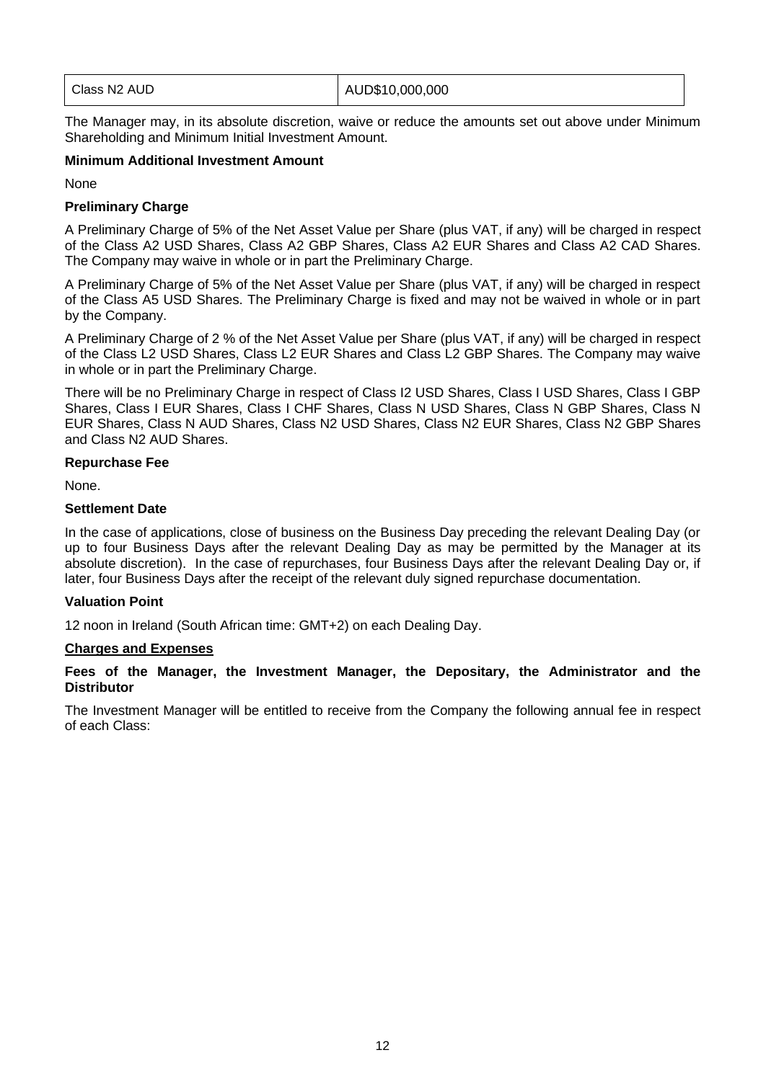| Class N2 AUD | AUD\$10,000,000 |
|--------------|-----------------|
|              |                 |

The Manager may, in its absolute discretion, waive or reduce the amounts set out above under Minimum Shareholding and Minimum Initial Investment Amount.

## **Minimum Additional Investment Amount**

None

## **Preliminary Charge**

A Preliminary Charge of 5% of the Net Asset Value per Share (plus VAT, if any) will be charged in respect of the Class A2 USD Shares, Class A2 GBP Shares, Class A2 EUR Shares and Class A2 CAD Shares. The Company may waive in whole or in part the Preliminary Charge.

A Preliminary Charge of 5% of the Net Asset Value per Share (plus VAT, if any) will be charged in respect of the Class A5 USD Shares. The Preliminary Charge is fixed and may not be waived in whole or in part by the Company.

A Preliminary Charge of 2 % of the Net Asset Value per Share (plus VAT, if any) will be charged in respect of the Class L2 USD Shares, Class L2 EUR Shares and Class L2 GBP Shares. The Company may waive in whole or in part the Preliminary Charge.

There will be no Preliminary Charge in respect of Class I2 USD Shares, Class I USD Shares, Class I GBP Shares, Class I EUR Shares, Class I CHF Shares, Class N USD Shares, Class N GBP Shares, Class N EUR Shares, Class N AUD Shares, Class N2 USD Shares, Class N2 EUR Shares, Class N2 GBP Shares and Class N2 AUD Shares.

## **Repurchase Fee**

None.

## **Settlement Date**

In the case of applications, close of business on the Business Day preceding the relevant Dealing Day (or up to four Business Days after the relevant Dealing Day as may be permitted by the Manager at its absolute discretion). In the case of repurchases, four Business Days after the relevant Dealing Day or, if later, four Business Days after the receipt of the relevant duly signed repurchase documentation.

## **Valuation Point**

12 noon in Ireland (South African time: GMT+2) on each Dealing Day.

## <span id="page-11-0"></span>**Charges and Expenses**

**Fees of the Manager, the Investment Manager, the Depositary, the Administrator and the Distributor**

The Investment Manager will be entitled to receive from the Company the following annual fee in respect of each Class: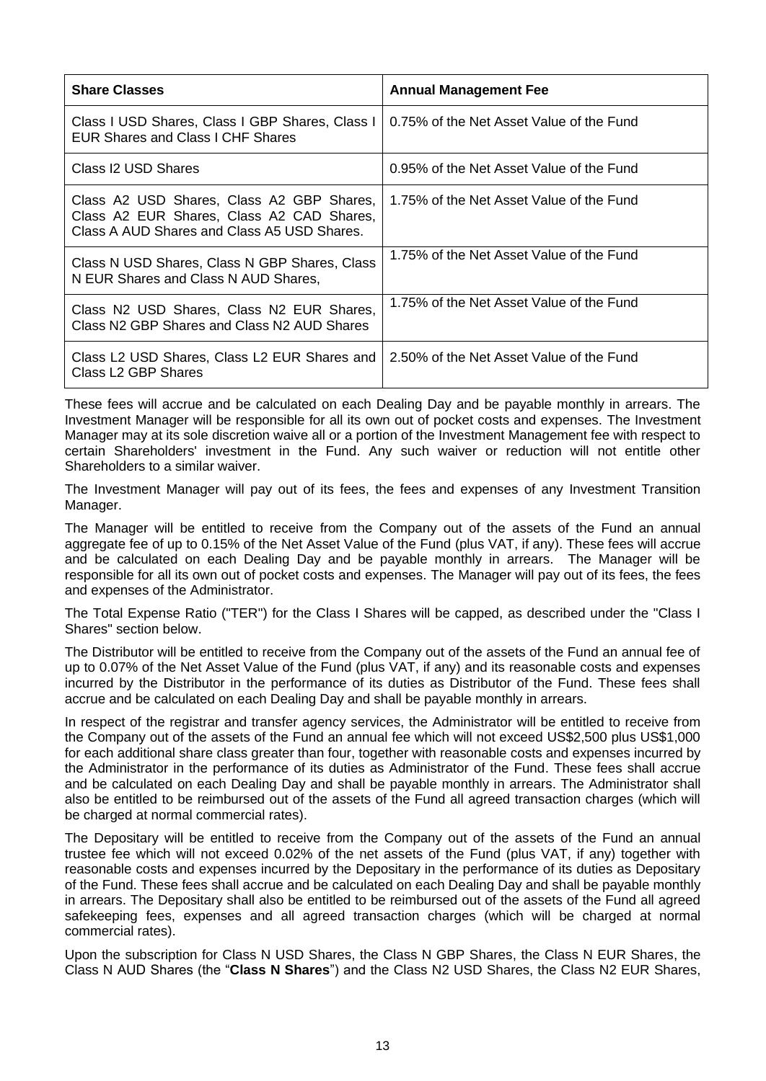| <b>Share Classes</b>                                                                                                                  | <b>Annual Management Fee</b>             |
|---------------------------------------------------------------------------------------------------------------------------------------|------------------------------------------|
| Class I USD Shares, Class I GBP Shares, Class I<br><b>EUR Shares and Class I CHF Shares</b>                                           | 0.75% of the Net Asset Value of the Fund |
| Class 12 USD Shares                                                                                                                   | 0.95% of the Net Asset Value of the Fund |
| Class A2 USD Shares, Class A2 GBP Shares,<br>Class A2 EUR Shares, Class A2 CAD Shares,<br>Class A AUD Shares and Class A5 USD Shares. | 1.75% of the Net Asset Value of the Fund |
| Class N USD Shares, Class N GBP Shares, Class<br>N EUR Shares and Class N AUD Shares,                                                 | 1.75% of the Net Asset Value of the Fund |
| Class N2 USD Shares, Class N2 EUR Shares,<br>Class N2 GBP Shares and Class N2 AUD Shares                                              | 1.75% of the Net Asset Value of the Fund |
| Class L2 USD Shares, Class L2 EUR Shares and<br>Class L2 GBP Shares                                                                   | 2.50% of the Net Asset Value of the Fund |

These fees will accrue and be calculated on each Dealing Day and be payable monthly in arrears. The Investment Manager will be responsible for all its own out of pocket costs and expenses. The Investment Manager may at its sole discretion waive all or a portion of the Investment Management fee with respect to certain Shareholders' investment in the Fund. Any such waiver or reduction will not entitle other Shareholders to a similar waiver.

The Investment Manager will pay out of its fees, the fees and expenses of any Investment Transition Manager.

The Manager will be entitled to receive from the Company out of the assets of the Fund an annual aggregate fee of up to 0.15% of the Net Asset Value of the Fund (plus VAT, if any). These fees will accrue and be calculated on each Dealing Day and be payable monthly in arrears. The Manager will be responsible for all its own out of pocket costs and expenses. The Manager will pay out of its fees, the fees and expenses of the Administrator.

The Total Expense Ratio ("TER") for the Class I Shares will be capped, as described under the "Class I Shares" section below.

The Distributor will be entitled to receive from the Company out of the assets of the Fund an annual fee of up to 0.07% of the Net Asset Value of the Fund (plus VAT, if any) and its reasonable costs and expenses incurred by the Distributor in the performance of its duties as Distributor of the Fund. These fees shall accrue and be calculated on each Dealing Day and shall be payable monthly in arrears.

In respect of the registrar and transfer agency services, the Administrator will be entitled to receive from the Company out of the assets of the Fund an annual fee which will not exceed US\$2,500 plus US\$1,000 for each additional share class greater than four, together with reasonable costs and expenses incurred by the Administrator in the performance of its duties as Administrator of the Fund. These fees shall accrue and be calculated on each Dealing Day and shall be payable monthly in arrears. The Administrator shall also be entitled to be reimbursed out of the assets of the Fund all agreed transaction charges (which will be charged at normal commercial rates).

The Depositary will be entitled to receive from the Company out of the assets of the Fund an annual trustee fee which will not exceed 0.02% of the net assets of the Fund (plus VAT, if any) together with reasonable costs and expenses incurred by the Depositary in the performance of its duties as Depositary of the Fund. These fees shall accrue and be calculated on each Dealing Day and shall be payable monthly in arrears. The Depositary shall also be entitled to be reimbursed out of the assets of the Fund all agreed safekeeping fees, expenses and all agreed transaction charges (which will be charged at normal commercial rates).

Upon the subscription for Class N USD Shares, the Class N GBP Shares, the Class N EUR Shares, the Class N AUD Shares (the "**Class N Shares**") and the Class N2 USD Shares, the Class N2 EUR Shares,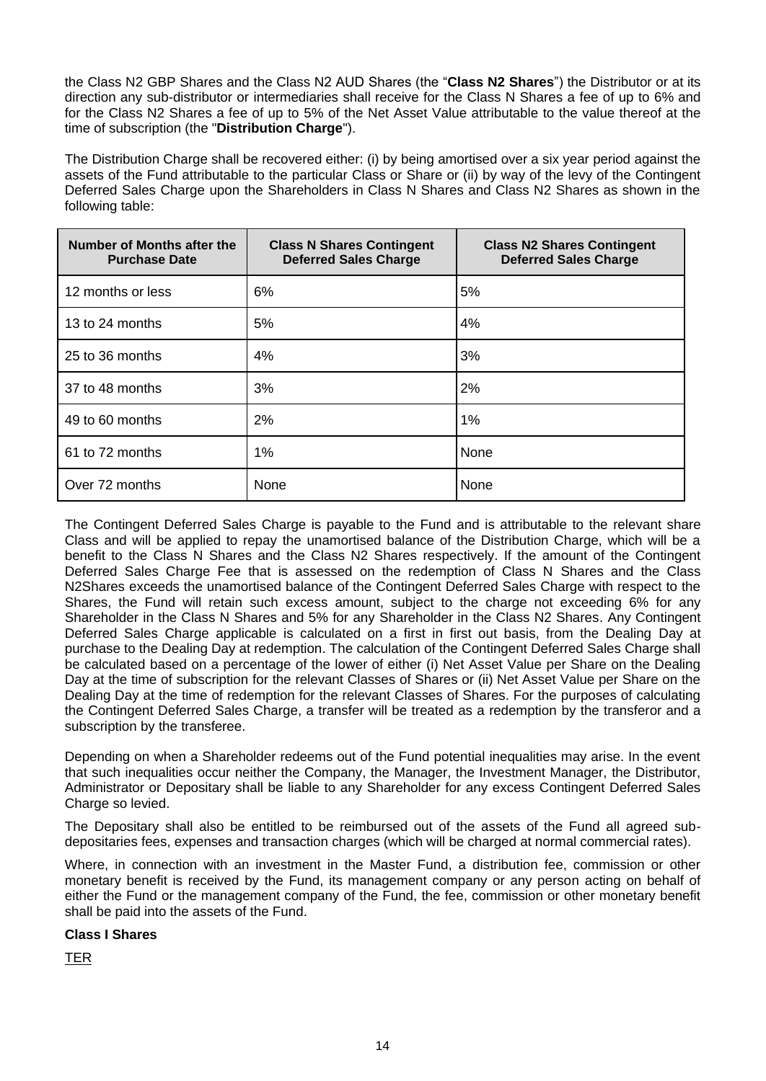the Class N2 GBP Shares and the Class N2 AUD Shares (the "**Class N2 Shares**") the Distributor or at its direction any sub-distributor or intermediaries shall receive for the Class N Shares a fee of up to 6% and for the Class N2 Shares a fee of up to 5% of the Net Asset Value attributable to the value thereof at the time of subscription (the "**Distribution Charge**").

The Distribution Charge shall be recovered either: (i) by being amortised over a six year period against the assets of the Fund attributable to the particular Class or Share or (ii) by way of the levy of the Contingent Deferred Sales Charge upon the Shareholders in Class N Shares and Class N2 Shares as shown in the following table:

| Number of Months after the<br><b>Purchase Date</b> | <b>Class N Shares Contingent</b><br><b>Deferred Sales Charge</b> | <b>Class N2 Shares Contingent</b><br><b>Deferred Sales Charge</b> |
|----------------------------------------------------|------------------------------------------------------------------|-------------------------------------------------------------------|
| 12 months or less                                  | 6%                                                               | 5%                                                                |
| 13 to 24 months                                    | 5%                                                               | 4%                                                                |
| 25 to 36 months                                    | 4%                                                               | 3%                                                                |
| 37 to 48 months                                    | 3%                                                               | 2%                                                                |
| 49 to 60 months                                    | 2%                                                               | 1%                                                                |
| 61 to 72 months                                    | 1%                                                               | None                                                              |
| Over 72 months                                     | None                                                             | None                                                              |

The Contingent Deferred Sales Charge is payable to the Fund and is attributable to the relevant share Class and will be applied to repay the unamortised balance of the Distribution Charge, which will be a benefit to the Class N Shares and the Class N2 Shares respectively. If the amount of the Contingent Deferred Sales Charge Fee that is assessed on the redemption of Class N Shares and the Class N2Shares exceeds the unamortised balance of the Contingent Deferred Sales Charge with respect to the Shares, the Fund will retain such excess amount, subject to the charge not exceeding 6% for any Shareholder in the Class N Shares and 5% for any Shareholder in the Class N2 Shares. Any Contingent Deferred Sales Charge applicable is calculated on a first in first out basis, from the Dealing Day at purchase to the Dealing Day at redemption. The calculation of the Contingent Deferred Sales Charge shall be calculated based on a percentage of the lower of either (i) Net Asset Value per Share on the Dealing Day at the time of subscription for the relevant Classes of Shares or (ii) Net Asset Value per Share on the Dealing Day at the time of redemption for the relevant Classes of Shares. For the purposes of calculating the Contingent Deferred Sales Charge, a transfer will be treated as a redemption by the transferor and a subscription by the transferee.

Depending on when a Shareholder redeems out of the Fund potential inequalities may arise. In the event that such inequalities occur neither the Company, the Manager, the Investment Manager, the Distributor, Administrator or Depositary shall be liable to any Shareholder for any excess Contingent Deferred Sales Charge so levied.

The Depositary shall also be entitled to be reimbursed out of the assets of the Fund all agreed subdepositaries fees, expenses and transaction charges (which will be charged at normal commercial rates).

Where, in connection with an investment in the Master Fund, a distribution fee, commission or other monetary benefit is received by the Fund, its management company or any person acting on behalf of either the Fund or the management company of the Fund, the fee, commission or other monetary benefit shall be paid into the assets of the Fund.

## **Class I Shares**

TER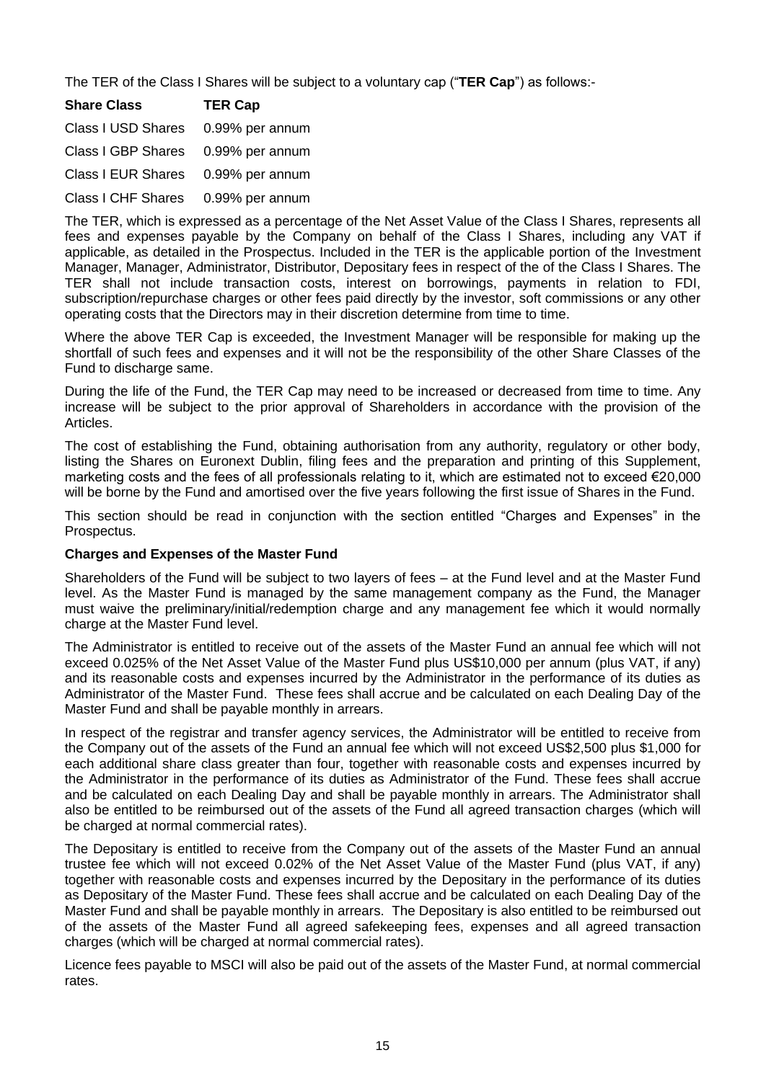The TER of the Class I Shares will be subject to a voluntary cap ("**TER Cap**") as follows:-

**Share Class TER Cap** Class I USD Shares 0.99% per annum Class I GBP Shares 0.99% per annum Class I EUR Shares 0.99% per annum Class I CHF Shares 0.99% per annum

The TER, which is expressed as a percentage of the Net Asset Value of the Class I Shares, represents all fees and expenses payable by the Company on behalf of the Class I Shares, including any VAT if applicable, as detailed in the Prospectus. Included in the TER is the applicable portion of the Investment Manager, Manager, Administrator, Distributor, Depositary fees in respect of the of the Class I Shares. The TER shall not include transaction costs, interest on borrowings, payments in relation to FDI, subscription/repurchase charges or other fees paid directly by the investor, soft commissions or any other operating costs that the Directors may in their discretion determine from time to time.

Where the above TER Cap is exceeded, the Investment Manager will be responsible for making up the shortfall of such fees and expenses and it will not be the responsibility of the other Share Classes of the Fund to discharge same.

During the life of the Fund, the TER Cap may need to be increased or decreased from time to time. Any increase will be subject to the prior approval of Shareholders in accordance with the provision of the Articles.

The cost of establishing the Fund, obtaining authorisation from any authority, regulatory or other body, listing the Shares on Euronext Dublin, filing fees and the preparation and printing of this Supplement, marketing costs and the fees of all professionals relating to it, which are estimated not to exceed €20,000 will be borne by the Fund and amortised over the five years following the first issue of Shares in the Fund.

This section should be read in conjunction with the section entitled "Charges and Expenses" in the Prospectus.

# **Charges and Expenses of the Master Fund**

Shareholders of the Fund will be subject to two layers of fees – at the Fund level and at the Master Fund level. As the Master Fund is managed by the same management company as the Fund, the Manager must waive the preliminary/initial/redemption charge and any management fee which it would normally charge at the Master Fund level.

The Administrator is entitled to receive out of the assets of the Master Fund an annual fee which will not exceed 0.025% of the Net Asset Value of the Master Fund plus US\$10,000 per annum (plus VAT, if any) and its reasonable costs and expenses incurred by the Administrator in the performance of its duties as Administrator of the Master Fund. These fees shall accrue and be calculated on each Dealing Day of the Master Fund and shall be payable monthly in arrears.

In respect of the registrar and transfer agency services, the Administrator will be entitled to receive from the Company out of the assets of the Fund an annual fee which will not exceed US\$2,500 plus \$1,000 for each additional share class greater than four, together with reasonable costs and expenses incurred by the Administrator in the performance of its duties as Administrator of the Fund. These fees shall accrue and be calculated on each Dealing Day and shall be payable monthly in arrears. The Administrator shall also be entitled to be reimbursed out of the assets of the Fund all agreed transaction charges (which will be charged at normal commercial rates).

The Depositary is entitled to receive from the Company out of the assets of the Master Fund an annual trustee fee which will not exceed 0.02% of the Net Asset Value of the Master Fund (plus VAT, if any) together with reasonable costs and expenses incurred by the Depositary in the performance of its duties as Depositary of the Master Fund. These fees shall accrue and be calculated on each Dealing Day of the Master Fund and shall be payable monthly in arrears. The Depositary is also entitled to be reimbursed out of the assets of the Master Fund all agreed safekeeping fees, expenses and all agreed transaction charges (which will be charged at normal commercial rates).

Licence fees payable to MSCI will also be paid out of the assets of the Master Fund, at normal commercial rates.